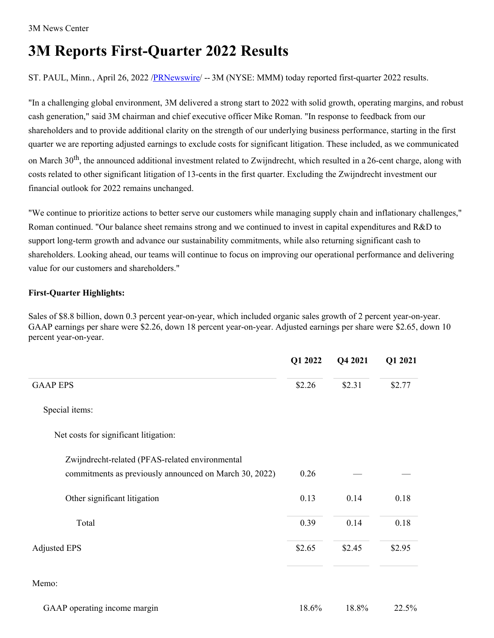# **3M Reports First-Quarter 2022 Results**

ST. PAUL, Minn., April 26, 2022 [/PRNewswire](http://www.prnewswire.com/)/ -- 3M (NYSE: MMM) today reported first-quarter 2022 results.

"In a challenging global environment, 3M delivered a strong start to 2022 with solid growth, operating margins, and robust cash generation," said 3M chairman and chief executive officer Mike Roman. "In response to feedback from our shareholders and to provide additional clarity on the strength of our underlying business performance, starting in the first quarter we are reporting adjusted earnings to exclude costs for significant litigation. These included, as we communicated on March 30<sup>th</sup>, the announced additional investment related to Zwijndrecht, which resulted in a 26-cent charge, along with costs related to other significant litigation of 13-cents in the first quarter. Excluding the Zwijndrecht investment our financial outlook for 2022 remains unchanged.

"We continue to prioritize actions to better serve our customers while managing supply chain and inflationary challenges," Roman continued. "Our balance sheet remains strong and we continued to invest in capital expenditures and R&D to support long-term growth and advance our sustainability commitments, while also returning significant cash to shareholders. Looking ahead, our teams will continue to focus on improving our operational performance and delivering value for our customers and shareholders."

# **First-Quarter Highlights:**

Sales of \$8.8 billion, down 0.3 percent year-on-year, which included organic sales growth of 2 percent year-on-year. GAAP earnings per share were \$2.26, down 18 percent year-on-year. Adjusted earnings per share were \$2.65, down 10 percent year-on-year.

|                                                        | Q1 2022 | Q4 2021 | Q1 2021 |
|--------------------------------------------------------|---------|---------|---------|
| <b>GAAP EPS</b>                                        | \$2.26  | \$2.31  | \$2.77  |
| Special items:                                         |         |         |         |
| Net costs for significant litigation:                  |         |         |         |
| Zwijndrecht-related (PFAS-related environmental        |         |         |         |
| commitments as previously announced on March 30, 2022) | 0.26    |         |         |
| Other significant litigation                           | 0.13    | 0.14    | 0.18    |
| Total                                                  | 0.39    | 0.14    | 0.18    |
| <b>Adjusted EPS</b>                                    | \$2.65  | \$2.45  | \$2.95  |
| Memo:                                                  |         |         |         |
| GAAP operating income margin                           | 18.6%   | 18.8%   | 22.5%   |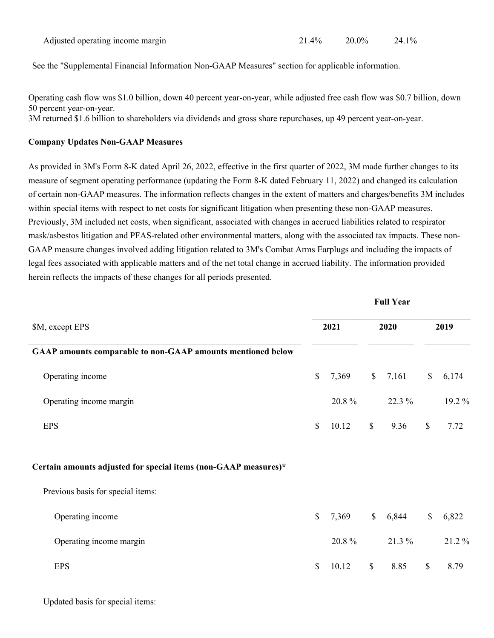See the "Supplemental Financial Information Non-GAAP Measures" section for applicable information.

Operating cash flow was \$1.0 billion, down 40 percent year-on-year, while adjusted free cash flow was \$0.7 billion, down 50 percent year-on-year.

3M returned \$1.6 billion to shareholders via dividends and gross share repurchases, up 49 percent year-on-year.

# **Company Updates Non-GAAP Measures**

As provided in 3M's Form 8-K dated April 26, 2022, effective in the first quarter of 2022, 3M made further changes to its measure of segment operating performance (updating the Form 8-K dated February 11, 2022) and changed its calculation of certain non-GAAP measures. The information reflects changes in the extent of matters and charges/benefits 3M includes within special items with respect to net costs for significant litigation when presenting these non-GAAP measures. Previously, 3M included net costs, when significant, associated with changes in accrued liabilities related to respirator mask/asbestos litigation and PFAS-related other environmental matters, along with the associated tax impacts. These non-GAAP measure changes involved adding litigation related to 3M's Combat Arms Earplugs and including the impacts of legal fees associated with applicable matters and of the net total change in accrued liability. The information provided herein reflects the impacts of these changes for all periods presented.

| \$M, except EPS                                                 | 2021         |       | 2020         |        | 2019          |        |
|-----------------------------------------------------------------|--------------|-------|--------------|--------|---------------|--------|
| GAAP amounts comparable to non-GAAP amounts mentioned below     |              |       |              |        |               |        |
| Operating income                                                | $\mathbb{S}$ | 7,369 | $\mathbb{S}$ | 7,161  | $\mathbb{S}$  | 6,174  |
| Operating income margin                                         |              | 20.8% |              | 22.3 % |               | 19.2 % |
| <b>EPS</b>                                                      | $\mathbb{S}$ | 10.12 | $\mathbb{S}$ | 9.36   | $\mathcal{S}$ | 7.72   |
| Certain amounts adjusted for special items (non-GAAP measures)* |              |       |              |        |               |        |
| Previous basis for special items:                               |              |       |              |        |               |        |
| Operating income                                                | $\mathbb{S}$ | 7,369 | $\mathbb{S}$ | 6,844  | $\mathbb{S}$  | 6,822  |
| Operating income margin                                         |              | 20.8% |              | 21.3 % |               | 21.2%  |
| <b>EPS</b>                                                      | $\mathbb{S}$ | 10.12 | $\mathbb{S}$ | 8.85   | $\mathcal{S}$ | 8.79   |

**Full Year**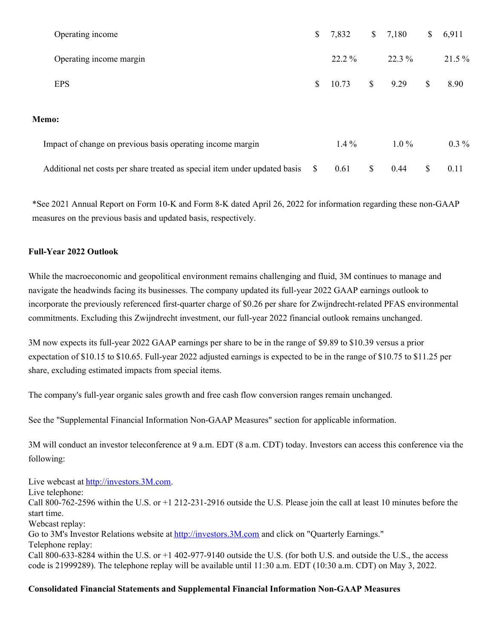|       | Operating income                                                           | \$ | 7,832    | $\mathbb{S}$ | 7,180    | \$ | 6,911    |
|-------|----------------------------------------------------------------------------|----|----------|--------------|----------|----|----------|
|       | Operating income margin                                                    |    | $22.2\%$ |              | $22.3\%$ |    | $21.5\%$ |
|       | <b>EPS</b>                                                                 | \$ | 10.73    | $\mathbb{S}$ | 9.29     | S  | 8.90     |
| Memo: |                                                                            |    |          |              |          |    |          |
|       | Impact of change on previous basis operating income margin                 |    | $1.4\%$  |              | $1.0\%$  |    | $0.3\%$  |
|       | Additional net costs per share treated as special item under updated basis | S. | 0.61     | S            | 0.44     | S  | 0.11     |

\*See 2021 Annual Report on Form 10-K and Form 8-K dated April 26, 2022 for information regarding these non-GAAP measures on the previous basis and updated basis, respectively.

# **Full-Year 2022 Outlook**

While the macroeconomic and geopolitical environment remains challenging and fluid, 3M continues to manage and navigate the headwinds facing its businesses. The company updated its full-year 2022 GAAP earnings outlook to incorporate the previously referenced first-quarter charge of \$0.26 per share for Zwijndrecht-related PFAS environmental commitments. Excluding this Zwijndrecht investment, our full-year 2022 financial outlook remains unchanged.

3M now expects its full-year 2022 GAAP earnings per share to be in the range of \$9.89 to \$10.39 versus a prior expectation of \$10.15 to \$10.65. Full-year 2022 adjusted earnings is expected to be in the range of \$10.75 to \$11.25 per share, excluding estimated impacts from special items.

The company's full-year organic sales growth and free cash flow conversion ranges remain unchanged.

See the "Supplemental Financial Information Non-GAAP Measures" section for applicable information.

3M will conduct an investor teleconference at 9 a.m. EDT (8 a.m. CDT) today. Investors can access this conference via the following:

Live webcast at [http://investors.3M.com](http://investors.3m.com).

Live telephone:

Call 800-762-2596 within the U.S. or +1 212-231-2916 outside the U.S. Please join the call at least 10 minutes before the start time.

Webcast replay:

Go to 3M's Investor Relations website at [http://investors.3M.com](http://investors.3m.com) and click on "Quarterly Earnings." Telephone replay:

Call 800-633-8284 within the U.S. or +1 402-977-9140 outside the U.S. (for both U.S. and outside the U.S., the access code is 21999289). The telephone replay will be available until 11:30 a.m. EDT (10:30 a.m. CDT) on May 3, 2022.

# **Consolidated Financial Statements and Supplemental Financial Information Non-GAAP Measures**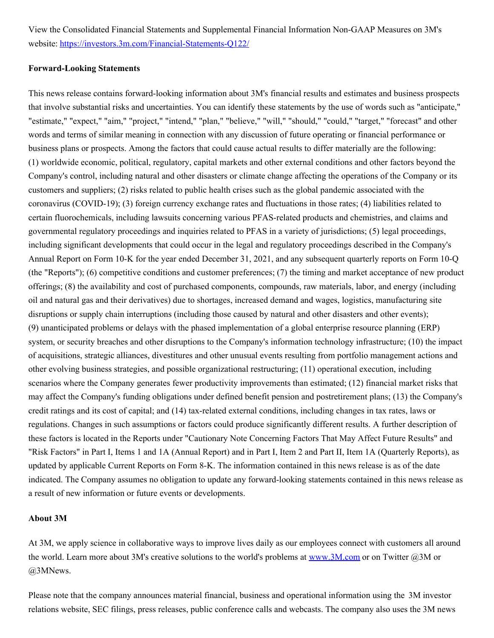View the Consolidated Financial Statements and Supplemental Financial Information Non-GAAP Measures on 3M's website: [https://investors.3m.com/Financial-Statements-Q122/](https://c212.net/c/link/?t=0&l=en&o=3515627-1&h=696127195&u=https%3A%2F%2Finvestors.3m.com%2FFinancial-Statements-Q122%2F&a=https%3A%2F%2Finvestors.3m.com%2FFinancial-Statements-Q122%2F)

#### **Forward-Looking Statements**

This news release contains forward-looking information about 3M's financial results and estimates and business prospects that involve substantial risks and uncertainties. You can identify these statements by the use of words such as "anticipate," "estimate," "expect," "aim," "project," "intend," "plan," "believe," "will," "should," "could," "target," "forecast" and other words and terms of similar meaning in connection with any discussion of future operating or financial performance or business plans or prospects. Among the factors that could cause actual results to differ materially are the following: (1) worldwide economic, political, regulatory, capital markets and other external conditions and other factors beyond the Company's control, including natural and other disasters or climate change affecting the operations of the Company or its customers and suppliers; (2) risks related to public health crises such as the global pandemic associated with the coronavirus (COVID-19); (3) foreign currency exchange rates and fluctuations in those rates; (4) liabilities related to certain fluorochemicals, including lawsuits concerning various PFAS-related products and chemistries, and claims and governmental regulatory proceedings and inquiries related to PFAS in a variety of jurisdictions; (5) legal proceedings, including significant developments that could occur in the legal and regulatory proceedings described in the Company's Annual Report on Form 10-K for the year ended December 31, 2021, and any subsequent quarterly reports on Form 10-Q (the "Reports"); (6) competitive conditions and customer preferences; (7) the timing and market acceptance of new product offerings; (8) the availability and cost of purchased components, compounds, raw materials, labor, and energy (including oil and natural gas and their derivatives) due to shortages, increased demand and wages, logistics, manufacturing site disruptions or supply chain interruptions (including those caused by natural and other disasters and other events); (9) unanticipated problems or delays with the phased implementation of a global enterprise resource planning (ERP) system, or security breaches and other disruptions to the Company's information technology infrastructure; (10) the impact of acquisitions, strategic alliances, divestitures and other unusual events resulting from portfolio management actions and other evolving business strategies, and possible organizational restructuring; (11) operational execution, including scenarios where the Company generates fewer productivity improvements than estimated; (12) financial market risks that may affect the Company's funding obligations under defined benefit pension and postretirement plans; (13) the Company's credit ratings and its cost of capital; and (14) tax-related external conditions, including changes in tax rates, laws or regulations. Changes in such assumptions or factors could produce significantly different results. A further description of these factors is located in the Reports under "Cautionary Note Concerning Factors That May Affect Future Results" and "Risk Factors" in Part I, Items 1 and 1A (Annual Report) and in Part I, Item 2 and Part II, Item 1A (Quarterly Reports), as updated by applicable Current Reports on Form 8-K. The information contained in this news release is as of the date indicated. The Company assumes no obligation to update any forward-looking statements contained in this news release as a result of new information or future events or developments.

#### **About 3M**

At 3M, we apply science in collaborative ways to improve lives daily as our employees connect with customers all around the world. Learn more about 3M's creative solutions to the world's problems at [www.3M.com](http://www.3m.com) or on Twitter @3M or @3MNews.

Please note that the company announces material financial, business and operational information using the 3M investor relations website, SEC filings, press releases, public conference calls and webcasts. The company also uses the 3M news